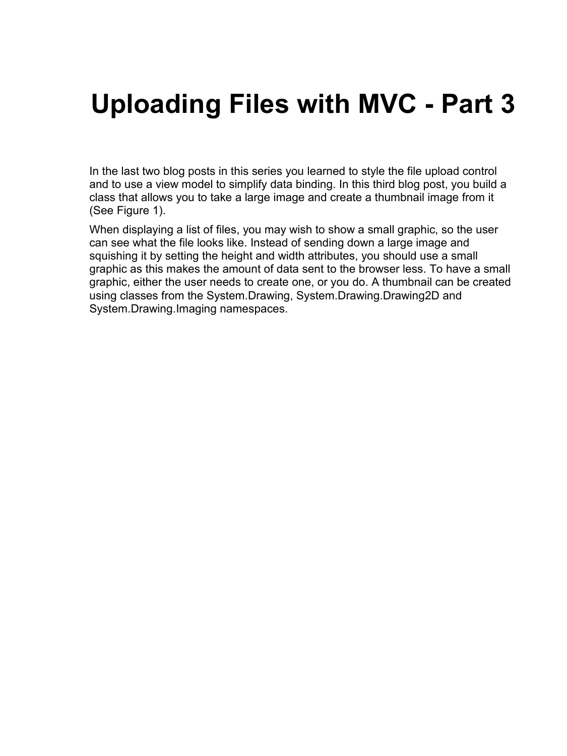# **Uploading Files with MVC - Part 3**

In the last two blog posts in this series you learned to style the file upload control and to use a view model to simplify data binding. In this third blog post, you build a class that allows you to take a large image and create a thumbnail image from it (See Figure 1).

When displaying a list of files, you may wish to show a small graphic, so the user can see what the file looks like. Instead of sending down a large image and squishing it by setting the height and width attributes, you should use a small graphic as this makes the amount of data sent to the browser less. To have a small graphic, either the user needs to create one, or you do. A thumbnail can be created using classes from the System.Drawing, System.Drawing.Drawing2D and System.Drawing.Imaging namespaces.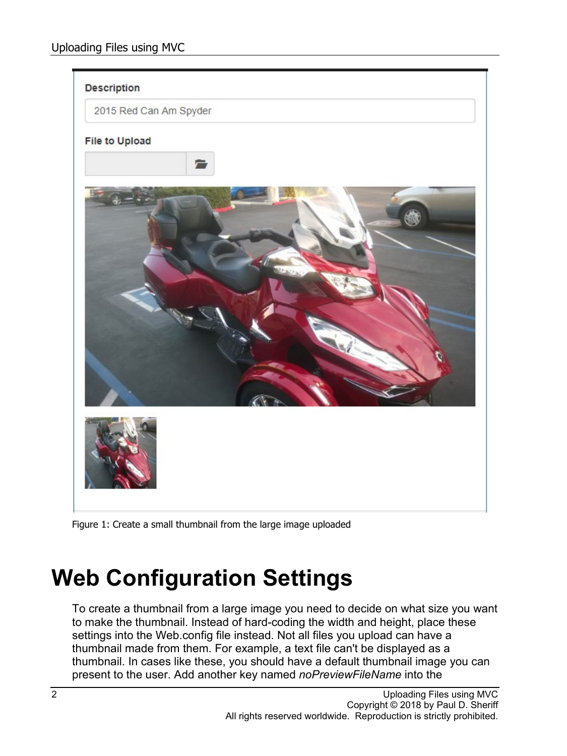

Figure 1: Create a small thumbnail from the large image uploaded

# **Web Configuration Settings**

To create a thumbnail from a large image you need to decide on what size you want to make the thumbnail. Instead of hard-coding the width and height, place these settings into the Web.config file instead. Not all files you upload can have a thumbnail made from them. For example, a text file can't be displayed as a thumbnail. In cases like these, you should have a default thumbnail image you can present to the user. Add another key named *noPreviewFileName* into the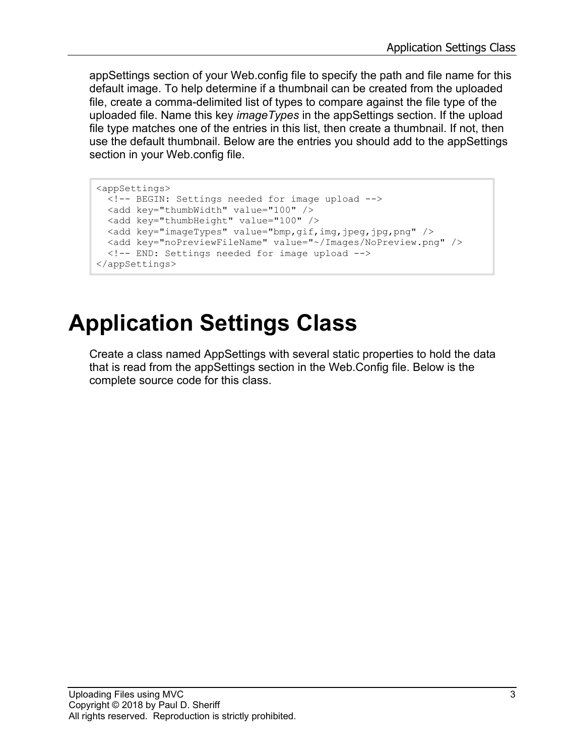appSettings section of your Web.config file to specify the path and file name for this default image. To help determine if a thumbnail can be created from the uploaded file, create a comma-delimited list of types to compare against the file type of the uploaded file. Name this key *imageTypes* in the appSettings section. If the upload file type matches one of the entries in this list, then create a thumbnail. If not, then use the default thumbnail. Below are the entries you should add to the appSettings section in your Web.config file.

```
<appSettings>
  <!-- BEGIN: Settings needed for image upload -->
  <add key="thumbWidth" value="100" />
  <add key="thumbHeight" value="100" />
  <add key="imageTypes" value="bmp,gif,img,jpeg,jpg,png" />
  <add key="noPreviewFileName" value="~/Images/NoPreview.png" />
   <!-- END: Settings needed for image upload -->
</appSettings>
```
# **Application Settings Class**

Create a class named AppSettings with several static properties to hold the data that is read from the appSettings section in the Web.Config file. Below is the complete source code for this class.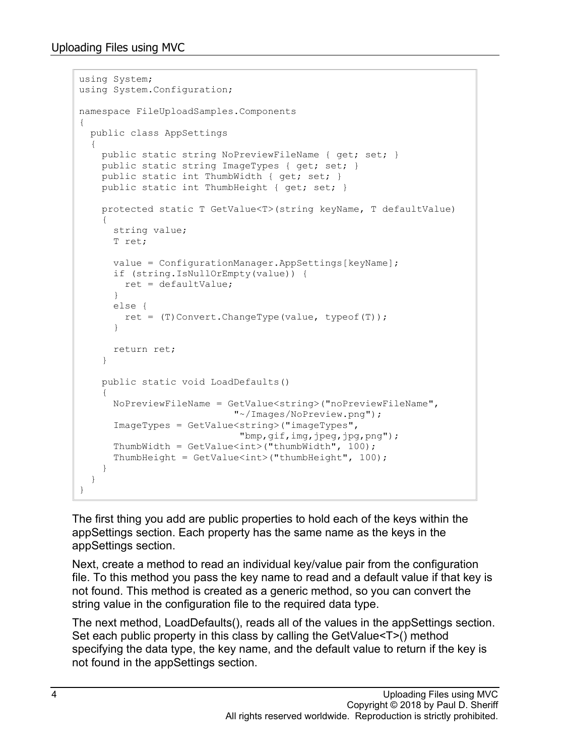```
using System;
using System.Configuration;
namespace FileUploadSamples.Components
{
  public class AppSettings
\{ public static string NoPreviewFileName { get; set; }
   public static string ImageTypes { get; set; }
    public static int ThumbWidth { get; set; }
   public static int ThumbHeight { get; set; }
     protected static T GetValue<T>(string keyName, T defaultValue)
     {
      string value;
       T ret;
       value = ConfigurationManager.AppSettings[keyName];
       if (string.IsNullOrEmpty(value)) {
        ret = defaultValue;
       }
       else {
        ret = (T)Convert.ChangeType(value, typeof(T));
 }
      return ret;
     }
     public static void LoadDefaults()
\{ NoPreviewFileName = GetValue<string>("noPreviewFileName",
                            "~/Images/NoPreview.png");
       ImageTypes = GetValue<string>("imageTypes",
                             "bmp,gif,img,jpeg,jpg,png");
      ThumbWidth = GetValue<int>("thumbWidth", 100);
      ThumbHeight = GetValue<int>("thumbHeight", 100);
     }
   }
}
```
The first thing you add are public properties to hold each of the keys within the appSettings section. Each property has the same name as the keys in the appSettings section.

Next, create a method to read an individual key/value pair from the configuration file. To this method you pass the key name to read and a default value if that key is not found. This method is created as a generic method, so you can convert the string value in the configuration file to the required data type.

The next method, LoadDefaults(), reads all of the values in the appSettings section. Set each public property in this class by calling the GetValue<T>() method specifying the data type, the key name, and the default value to return if the key is not found in the appSettings section.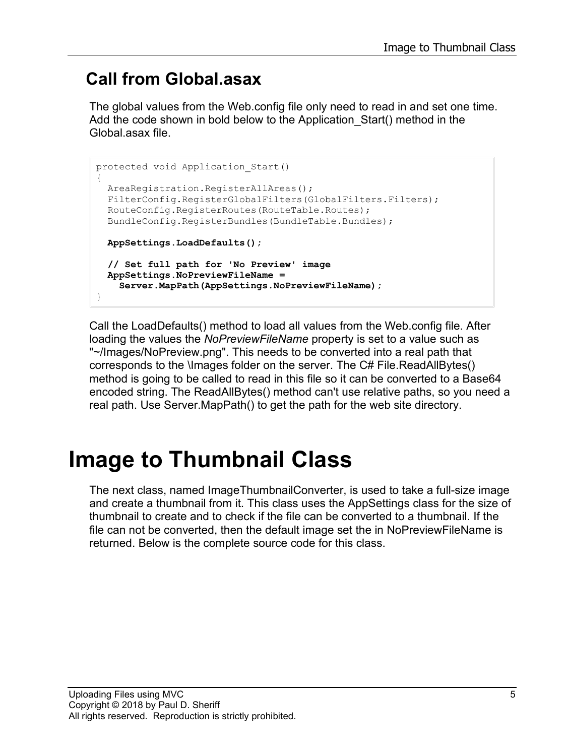#### **Call from Global.asax**

The global values from the Web.config file only need to read in and set one time. Add the code shown in bold below to the Application\_Start() method in the Global.asax file.

```
protected void Application_Start()
{
  AreaRegistration.RegisterAllAreas();
 FilterConfig.RegisterGlobalFilters(GlobalFilters.Filters);
  RouteConfig.RegisterRoutes(RouteTable.Routes);
  BundleConfig.RegisterBundles(BundleTable.Bundles);
  AppSettings.LoadDefaults();
  // Set full path for 'No Preview' image
  AppSettings.NoPreviewFileName = 
     Server.MapPath(AppSettings.NoPreviewFileName);
}
```
Call the LoadDefaults() method to load all values from the Web.config file. After loading the values the *NoPreviewFileName* property is set to a value such as "~/Images/NoPreview.png". This needs to be converted into a real path that corresponds to the \Images folder on the server. The C# File.ReadAllBytes() method is going to be called to read in this file so it can be converted to a Base64 encoded string. The ReadAllBytes() method can't use relative paths, so you need a real path. Use Server.MapPath() to get the path for the web site directory.

#### **Image to Thumbnail Class**

The next class, named ImageThumbnailConverter, is used to take a full-size image and create a thumbnail from it. This class uses the AppSettings class for the size of thumbnail to create and to check if the file can be converted to a thumbnail. If the file can not be converted, then the default image set the in NoPreviewFileName is returned. Below is the complete source code for this class.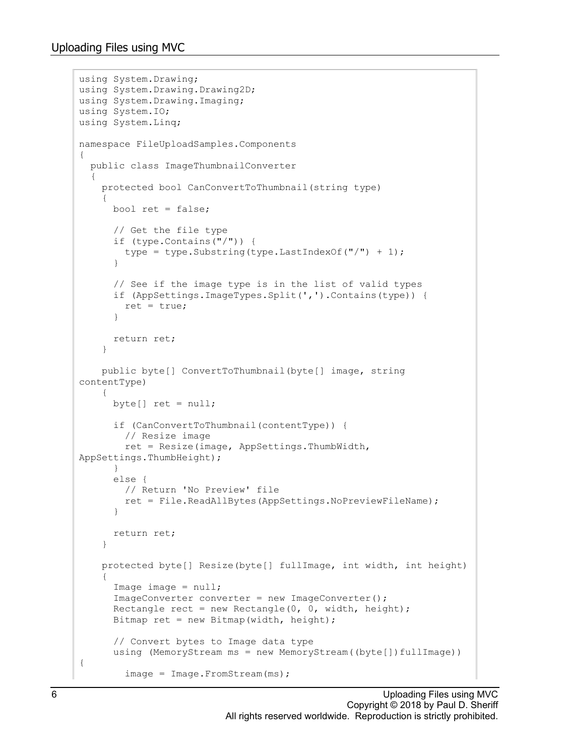```
using System.Drawing;
using System.Drawing.Drawing2D;
using System.Drawing.Imaging;
using System.IO;
using System.Linq;
namespace FileUploadSamples.Components
{
   public class ImageThumbnailConverter
   {
     protected bool CanConvertToThumbnail(string type)
\left\{\begin{array}{ccc} \end{array}\right\} bool ret = false;
       // Get the file type
       if (type.Contains("/")) {
      type = type.Substring(type.LastIndexOf("/") + 1);
 }
       // See if the image type is in the list of valid types
       if (AppSettings.ImageTypes.Split(',').Contains(type)) {
         ret = true;
 }
       return ret;
     }
     public byte[] ConvertToThumbnail(byte[] image, string 
contentType)
     { 
       byte[] ret = null;
       if (CanConvertToThumbnail(contentType)) {
         // Resize image
         ret = Resize(image, AppSettings.ThumbWidth, 
AppSettings.ThumbHeight);
 }
       else {
         // Return 'No Preview' file
         ret = File.ReadAllBytes(AppSettings.NoPreviewFileName);
       }
       return ret;
     }
     protected byte[] Resize(byte[] fullImage, int width, int height)
\left\{\begin{array}{ccc} \end{array}\right\}Image image = null;ImageConverter converter = new ImageConverter();
      Rectangle rect = new Rectangle(0, 0, width, height);
       Bitmap ret = new Bitmap(width, height);
       // Convert bytes to Image data type
      using (MemoryStream ms = new MemoryStream ((byte[])fullImage))
{
         image = Image.FromStream(ms);
```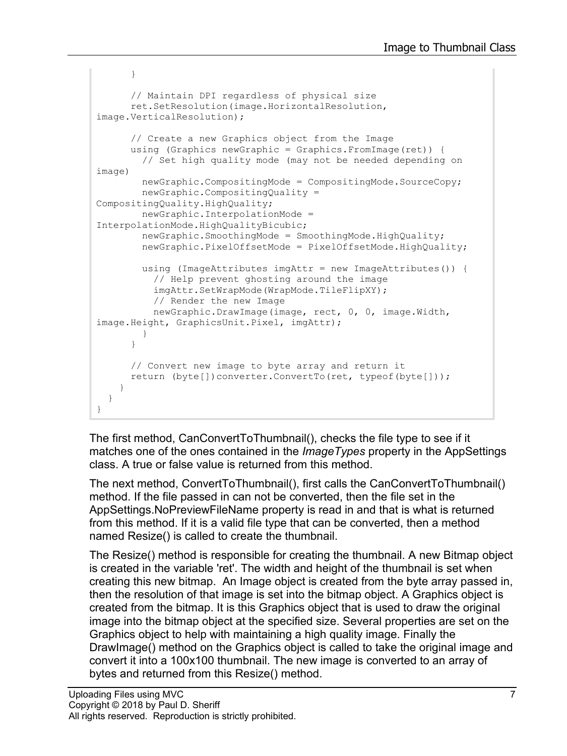```
 }
       // Maintain DPI regardless of physical size
       ret.SetResolution(image.HorizontalResolution, 
image.VerticalResolution);
       // Create a new Graphics object from the Image
       using (Graphics newGraphic = Graphics.FromImage(ret)) {
         // Set high quality mode (may not be needed depending on 
image)
         newGraphic.CompositingMode = CompositingMode.SourceCopy;
         newGraphic.CompositingQuality = 
CompositingQuality.HighQuality;
         newGraphic.InterpolationMode = 
InterpolationMode.HighQualityBicubic;
         newGraphic.SmoothingMode = SmoothingMode.HighQuality;
         newGraphic.PixelOffsetMode = PixelOffsetMode.HighQuality;
         using (ImageAttributes imgAttr = new ImageAttributes()) {
           // Help prevent ghosting around the image 
           imgAttr.SetWrapMode(WrapMode.TileFlipXY);
           // Render the new Image
           newGraphic.DrawImage(image, rect, 0, 0, image.Width, 
image.Height, GraphicsUnit.Pixel, imgAttr);
 }
       }
       // Convert new image to byte array and return it
      return (byte[])converter.ConvertTo(ret, typeof(byte[]));
     }
   }
}
```
The first method, CanConvertToThumbnail(), checks the file type to see if it matches one of the ones contained in the *ImageTypes* property in the AppSettings class. A true or false value is returned from this method.

The next method, ConvertToThumbnail(), first calls the CanConvertToThumbnail() method. If the file passed in can not be converted, then the file set in the AppSettings.NoPreviewFileName property is read in and that is what is returned from this method. If it is a valid file type that can be converted, then a method named Resize() is called to create the thumbnail.

The Resize() method is responsible for creating the thumbnail. A new Bitmap object is created in the variable 'ret'. The width and height of the thumbnail is set when creating this new bitmap. An Image object is created from the byte array passed in, then the resolution of that image is set into the bitmap object. A Graphics object is created from the bitmap. It is this Graphics object that is used to draw the original image into the bitmap object at the specified size. Several properties are set on the Graphics object to help with maintaining a high quality image. Finally the DrawImage() method on the Graphics object is called to take the original image and convert it into a 100x100 thumbnail. The new image is converted to an array of bytes and returned from this Resize() method.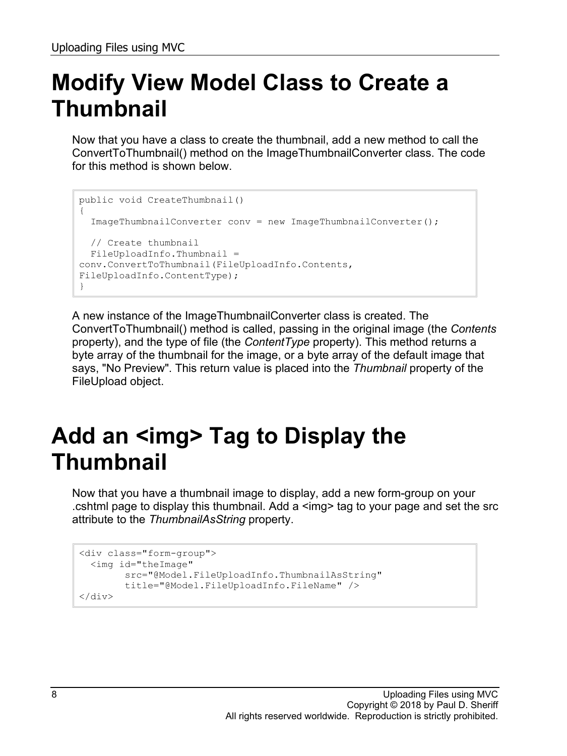# **Modify View Model Class to Create a Thumbnail**

Now that you have a class to create the thumbnail, add a new method to call the ConvertToThumbnail() method on the ImageThumbnailConverter class. The code for this method is shown below.

```
public void CreateThumbnail()
{
   ImageThumbnailConverter conv = new ImageThumbnailConverter();
   // Create thumbnail
  FileUploadInfo.Thumbnail = 
conv.ConvertToThumbnail(FileUploadInfo.Contents, 
FileUploadInfo.ContentType);
}
```
A new instance of the ImageThumbnailConverter class is created. The ConvertToThumbnail() method is called, passing in the original image (the *Contents* property), and the type of file (the *ContentType* property). This method returns a byte array of the thumbnail for the image, or a byte array of the default image that says, "No Preview". This return value is placed into the *Thumbnail* property of the FileUpload object.

#### **Add an <img> Tag to Display the Thumbnail**

Now that you have a thumbnail image to display, add a new form-group on your .cshtml page to display this thumbnail. Add a <img> tag to your page and set the src attribute to the *ThumbnailAsString* property.

```
<div class="form-group">
  <img id="theImage"
        src="@Model.FileUploadInfo.ThumbnailAsString"
        title="@Model.FileUploadInfo.FileName" />
</div>
```